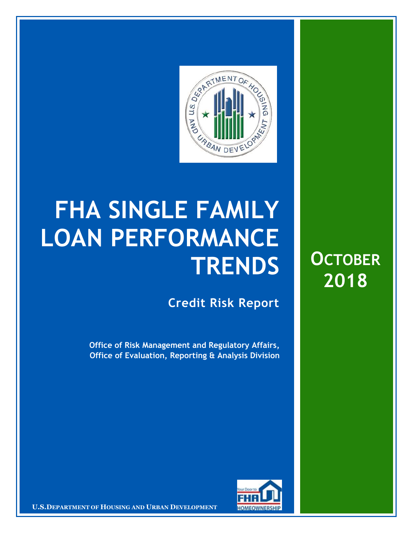

## **FHA SINGLE FAMILY LOAN PERFORMANCE TRENDS**

**Credit Risk Report**

**Office of Risk Management and Regulatory Affairs, Office of Evaluation, Reporting & Analysis Division**





**U.S.DEPARTMENT OF HOUSING AND URBAN DEVELOPMENT FOR FORMING RSHIP**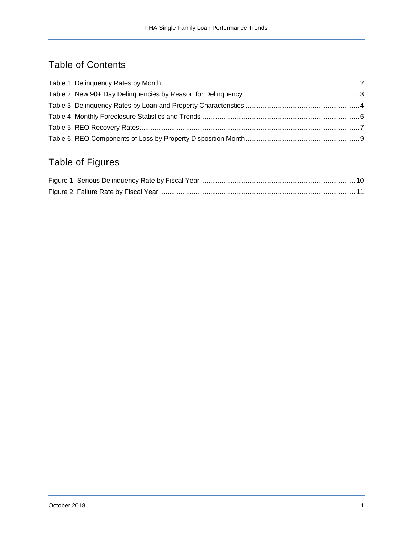## Table of Contents

## Table of Figures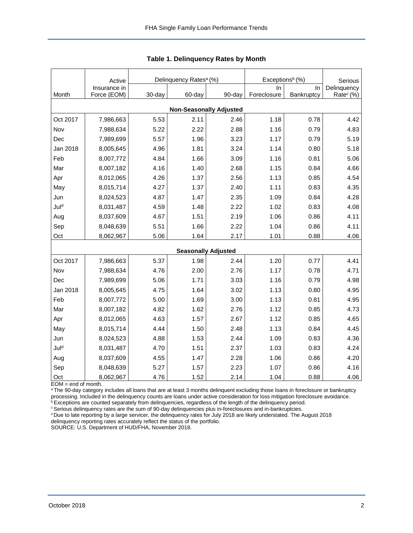<span id="page-2-0"></span>

|                                | Active                      |        | Delinquency Rates <sup>a</sup> (%) |                            | Exceptions <sup>b</sup> (%) | Serious          |                                      |  |  |
|--------------------------------|-----------------------------|--------|------------------------------------|----------------------------|-----------------------------|------------------|--------------------------------------|--|--|
| Month                          | Insurance in<br>Force (EOM) | 30-day | 60-day                             | 90-day                     | In<br>Foreclosure           | In<br>Bankruptcy | Delinquency<br>Rate <sup>c</sup> (%) |  |  |
|                                |                             |        |                                    |                            |                             |                  |                                      |  |  |
| <b>Non-Seasonally Adjusted</b> |                             |        |                                    |                            |                             |                  |                                      |  |  |
| Oct 2017                       | 7,986,663                   | 5.53   | 2.11                               | 2.46                       | 1.18                        | 0.78             | 4.42                                 |  |  |
| Nov                            | 7,988,634                   | 5.22   | 2.22                               | 2.88                       | 1.16                        | 0.79             | 4.83                                 |  |  |
| Dec                            | 7,989,699                   | 5.57   | 1.96                               | 3.23                       | 1.17                        | 0.79             | 5.19                                 |  |  |
| Jan 2018                       | 8,005,645                   | 4.96   | 1.81                               | 3.24                       | 1.14                        | 0.80             | 5.18                                 |  |  |
| Feb                            | 8,007,772                   | 4.84   | 1.66                               | 3.09                       | 1.16                        | 0.81             | 5.06                                 |  |  |
| Mar                            | 8,007,182                   | 4.16   | 1.40                               | 2.68                       | 1.15                        | 0.84             | 4.66                                 |  |  |
| Apr                            | 8,012,065                   | 4.26   | 1.37                               | 2.56                       | 1.13                        | 0.85             | 4.54                                 |  |  |
| May                            | 8,015,714                   | 4.27   | 1.37                               | 2.40                       | 1.11                        | 0.83             | 4.35                                 |  |  |
| Jun                            | 8,024,523                   | 4.87   | 1.47                               | 2.35                       | 1.09                        | 0.84             | 4.28                                 |  |  |
| Juld                           | 8,031,487                   | 4.59   | 1.48                               | 2.22                       | 1.02                        | 0.83             | 4.08                                 |  |  |
| Aug                            | 8,037,609                   | 4.67   | 1.51                               | 2.19                       | 1.06                        | 0.86             | 4.11                                 |  |  |
| Sep                            | 8,048,639                   | 5.51   | 1.66                               | 2.22                       | 1.04                        | 0.86             | 4.11                                 |  |  |
| Oct                            | 8,062,967                   | 5.06   | 1.64                               | 2.17                       | 1.01                        | 0.88             | 4.06                                 |  |  |
|                                |                             |        |                                    | <b>Seasonally Adjusted</b> |                             |                  |                                      |  |  |
| Oct 2017                       | 7,986,663                   | 5.37   | 1.98                               | 2.44                       | 1.20                        | 0.77             | 4.41                                 |  |  |
| Nov                            | 7,988,634                   | 4.76   | 2.00                               | 2.76                       | 1.17                        | 0.78             | 4.71                                 |  |  |
| Dec                            | 7,989,699                   | 5.06   | 1.71                               | 3.03                       | 1.16                        | 0.79             | 4.98                                 |  |  |
| Jan 2018                       | 8,005,645                   | 4.75   | 1.64                               | 3.02                       | 1.13                        | 0.80             | 4.95                                 |  |  |
| Feb                            | 8,007,772                   | 5.00   | 1.69                               | 3.00                       | 1.13                        | 0.81             | 4.95                                 |  |  |
| Mar                            | 8,007,182                   | 4.82   | 1.62                               | 2.76                       | 1.12                        | 0.85             | 4.73                                 |  |  |
| Apr                            | 8,012,065                   | 4.63   | 1.57                               | 2.67                       | 1.12                        | 0.85             | 4.65                                 |  |  |
| May                            | 8,015,714                   | 4.44   | 1.50                               | 2.48                       | 1.13                        | 0.84             | 4.45                                 |  |  |
| Jun                            | 8,024,523                   | 4.88   | 1.53                               | 2.44                       | 1.09                        | 0.83             | 4.36                                 |  |  |
| Juld                           | 8,031,487                   | 4.70   | 1.51                               | 2.37                       | 1.03                        | 0.83             | 4.24                                 |  |  |
| Aug                            | 8,037,609                   | 4.55   | 1.47                               | 2.28                       | 1.06                        | 0.86             | 4.20                                 |  |  |
| Sep                            | 8,048,639                   | 5.27   | 1.57                               | 2.23                       | 1.07                        | 0.86             | 4.16                                 |  |  |
| Oct                            | 8,062,967                   | 4.76   | 1.52                               | 2.14                       | 1.04                        | 0.88             | 4.06                                 |  |  |

**Table 1. Delinquency Rates by Month**

EOM = end of month.

<sup>a</sup>The 90-day category includes all loans that are at least 3 months delinquent excluding those loans in foreclosure or bankruptcy processing. Included in the delinquency counts are loans under active consideration for loss mitigation foreclosure avoidance.

**bExceptions are counted separately from delinquencies, regardless of the length of the delinquency period.** 

<sup>c</sup> Serious delinquency rates are the sum of 90-day delinquencies plus in-foreclosures and in-bankruptcies.

<sup>d</sup> Due to late reporting by a large servicer, the delinquency rates for July 2018 are likely understated. The August 2018 delinquency reporting rates accurately reflect the status of the portfolio.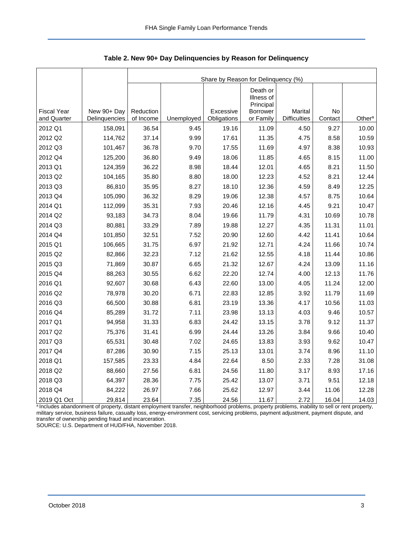|                    |               |           |            | Share by Reason for Delinquency (%) |                                                 |                     |         |                    |
|--------------------|---------------|-----------|------------|-------------------------------------|-------------------------------------------------|---------------------|---------|--------------------|
| <b>Fiscal Year</b> | New 90+ Day   | Reduction |            | Excessive                           | Death or<br>Illness of<br>Principal<br>Borrower | Marital             | No      |                    |
| and Quarter        | Delinguencies | of Income | Unemployed | Obligations                         | or Family                                       | <b>Difficulties</b> | Contact | Other <sup>a</sup> |
| 2012 Q1            | 158,091       | 36.54     | 9.45       | 19.16                               | 11.09                                           | 4.50                | 9.27    | 10.00              |
| 2012 Q2            | 114,762       | 37.14     | 9.99       | 17.61                               | 11.35                                           | 4.75                | 8.58    | 10.59              |
| 2012 Q3            | 101,467       | 36.78     | 9.70       | 17.55                               | 11.69                                           | 4.97                | 8.38    | 10.93              |
| 2012 Q4            | 125,200       | 36.80     | 9.49       | 18.06                               | 11.85                                           | 4.65                | 8.15    | 11.00              |
| 2013 Q1            | 124,359       | 36.22     | 8.98       | 18.44                               | 12.01                                           | 4.65                | 8.21    | 11.50              |
| 2013 Q2            | 104,165       | 35.80     | 8.80       | 18.00                               | 12.23                                           | 4.52                | 8.21    | 12.44              |
| 2013 Q3            | 86,810        | 35.95     | 8.27       | 18.10                               | 12.36                                           | 4.59                | 8.49    | 12.25              |
| 2013 Q4            | 105,090       | 36.32     | 8.29       | 19.06                               | 12.38                                           | 4.57                | 8.75    | 10.64              |
| 2014 Q1            | 112,099       | 35.31     | 7.93       | 20.46                               | 12.16                                           | 4.45                | 9.21    | 10.47              |
| 2014 Q2            | 93,183        | 34.73     | 8.04       | 19.66                               | 11.79                                           | 4.31                | 10.69   | 10.78              |
| 2014 Q3            | 80,881        | 33.29     | 7.89       | 19.88                               | 12.27                                           | 4.35                | 11.31   | 11.01              |
| 2014 Q4            | 101,850       | 32.51     | 7.52       | 20.90                               | 12.60                                           | 4.42                | 11.41   | 10.64              |
| 2015 Q1            | 106,665       | 31.75     | 6.97       | 21.92                               | 12.71                                           | 4.24                | 11.66   | 10.74              |
| 2015 Q2            | 82,866        | 32.23     | 7.12       | 21.62                               | 12.55                                           | 4.18                | 11.44   | 10.86              |
| 2015 Q3            | 71,869        | 30.87     | 6.65       | 21.32                               | 12.67                                           | 4.24                | 13.09   | 11.16              |
| 2015 Q4            | 88,263        | 30.55     | 6.62       | 22.20                               | 12.74                                           | 4.00                | 12.13   | 11.76              |
| 2016 Q1            | 92,607        | 30.68     | 6.43       | 22.60                               | 13.00                                           | 4.05                | 11.24   | 12.00              |
| 2016 Q2            | 78,978        | 30.20     | 6.71       | 22.83                               | 12.85                                           | 3.92                | 11.79   | 11.69              |
| 2016 Q3            | 66,500        | 30.88     | 6.81       | 23.19                               | 13.36                                           | 4.17                | 10.56   | 11.03              |
| 2016 Q4            | 85,289        | 31.72     | 7.11       | 23.98                               | 13.13                                           | 4.03                | 9.46    | 10.57              |
| 2017 Q1            | 94,958        | 31.33     | 6.83       | 24.42                               | 13.15                                           | 3.78                | 9.12    | 11.37              |
| 2017 Q2            | 75,376        | 31.41     | 6.99       | 24.44                               | 13.26                                           | 3.84                | 9.66    | 10.40              |
| 2017 Q3            | 65,531        | 30.48     | 7.02       | 24.65                               | 13.83                                           | 3.93                | 9.62    | 10.47              |
| 2017 Q4            | 87,286        | 30.90     | 7.15       | 25.13                               | 13.01                                           | 3.74                | 8.96    | 11.10              |
| 2018 Q1            | 157,585       | 23.33     | 4.84       | 22.64                               | 8.50                                            | 2.33                | 7.28    | 31.08              |
| 2018 Q2            | 88,660        | 27.56     | 6.81       | 24.56                               | 11.80                                           | 3.17                | 8.93    | 17.16              |
| 2018 Q3            | 64,397        | 28.36     | 7.75       | 25.42                               | 13.07                                           | 3.71                | 9.51    | 12.18              |
| 2018 Q4            | 84,222        | 26.97     | 7.66       | 25.62                               | 12.97                                           | 3.44                | 11.06   | 12.28              |
| 2019 Q1 Oct        | 29,814        | 23.64     | 7.35       | 24.56                               | 11.67                                           | 2.72                | 16.04   | 14.03              |

<span id="page-3-0"></span>**Table 2. New 90+ Day Delinquencies by Reason for Delinquency**

aIncludes abandonment of property, distant employment transfer, neighborhood problems, property problems, inability to sell or rent property, military service, business failure, casualty loss, energy-environment cost, servicing problems, payment adjustment, payment dispute, and transfer of ownership pending fraud and incarceration.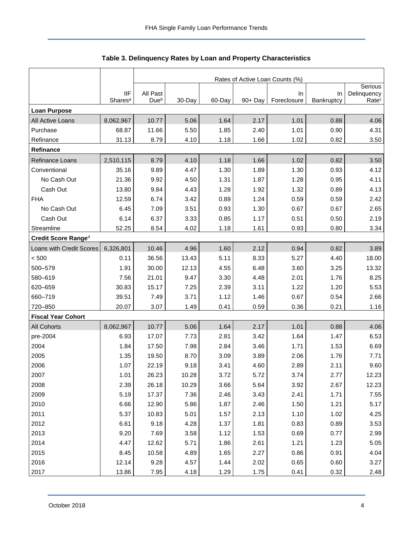<span id="page-4-0"></span>

|                           |                            |                              | Rates of Active Loan Counts (%) |        |         |                   |                  |                                  |  |  |  |
|---------------------------|----------------------------|------------------------------|---------------------------------|--------|---------|-------------------|------------------|----------------------------------|--|--|--|
|                           |                            |                              |                                 |        |         |                   |                  | Serious                          |  |  |  |
|                           | IIF<br>Shares <sup>a</sup> | All Past<br>Due <sup>b</sup> | 30-Day                          | 60-Day | 90+ Day | In<br>Foreclosure | In<br>Bankruptcy | Delinquency<br>Rate <sup>c</sup> |  |  |  |
| <b>Loan Purpose</b>       |                            |                              |                                 |        |         |                   |                  |                                  |  |  |  |
| All Active Loans          | 8,062,967                  | 10.77                        | 5.06                            | 1.64   | 2.17    | 1.01              | 0.88             | 4.06                             |  |  |  |
| Purchase                  | 68.87                      | 11.66                        | 5.50                            | 1.85   | 2.40    | 1.01              | 0.90             | 4.31                             |  |  |  |
| Refinance                 | 31.13                      | 8.79                         | 4.10                            | 1.18   | 1.66    | 1.02              | 0.82             | 3.50                             |  |  |  |
| Refinance                 |                            |                              |                                 |        |         |                   |                  |                                  |  |  |  |
| Refinance Loans           | 2,510,115                  | 8.79                         | 4.10                            | 1.18   | 1.66    | 1.02              | 0.82             | 3.50                             |  |  |  |
| Conventional              | 35.16                      | 9.89                         | 4.47                            | 1.30   | 1.89    | 1.30              | 0.93             | 4.12                             |  |  |  |
| No Cash Out               | 21.36                      | 9.92                         | 4.50                            | 1.31   | 1.87    | 1.28              | 0.95             | 4.11                             |  |  |  |
| Cash Out                  | 13.80                      | 9.84                         | 4.43                            | 1.28   | 1.92    | 1.32              | 0.89             | 4.13                             |  |  |  |
| <b>FHA</b>                | 12.59                      | 6.74                         | 3.42                            | 0.89   | 1.24    | 0.59              | 0.59             | 2.42                             |  |  |  |
| No Cash Out               | 6.45                       | 7.09                         | 3.51                            | 0.93   | 1.30    | 0.67              | 0.67             | 2.65                             |  |  |  |
| Cash Out                  | 6.14                       | 6.37                         | 3.33                            | 0.85   | 1.17    | 0.51              | 0.50             | 2.19                             |  |  |  |
| Streamline                | 52.25                      | 8.54                         | 4.02                            | 1.18   | 1.61    | 0.93              | 0.80             | 3.34                             |  |  |  |
| Credit Score Ranged       |                            |                              |                                 |        |         |                   |                  |                                  |  |  |  |
| Loans with Credit Scores  | 6,326,801                  | 10.46                        | 4.96                            | 1.60   | 2.12    | 0.94              | 0.82             | 3.89                             |  |  |  |
| < 500                     | 0.11                       | 36.56                        | 13.43                           | 5.11   | 8.33    | 5.27              | 4.40             | 18.00                            |  |  |  |
| 500-579                   | 1.91                       | 30.00                        | 12.13                           | 4.55   | 6.48    | 3.60              | 3.25             | 13.32                            |  |  |  |
| 580-619                   | 7.56                       | 21.01                        | 9.47                            | 3.30   | 4.48    | 2.01              | 1.76             | 8.25                             |  |  |  |
| 620-659                   | 30.83                      | 15.17                        | 7.25                            | 2.39   | 3.11    | 1.22              | 1.20             | 5.53                             |  |  |  |
| 660-719                   | 39.51                      | 7.49                         | 3.71                            | 1.12   | 1.46    | 0.67              | 0.54             | 2.66                             |  |  |  |
| 720-850                   | 20.07                      | 3.07                         | 1.49                            | 0.41   | 0.59    | 0.36              | 0.21             | 1.16                             |  |  |  |
| <b>Fiscal Year Cohort</b> |                            |                              |                                 |        |         |                   |                  |                                  |  |  |  |
| <b>All Cohorts</b>        | 8,062,967                  | 10.77                        | 5.06                            | 1.64   | 2.17    | 1.01              | 0.88             | 4.06                             |  |  |  |
| pre-2004                  | 6.93                       | 17.07                        | 7.73                            | 2.81   | 3.42    | 1.64              | 1.47             | 6.53                             |  |  |  |
| 2004                      | 1.84                       | 17.50                        | 7.98                            | 2.84   | 3.46    | 1.71              | 1.53             | 6.69                             |  |  |  |
| 2005                      | 1.35                       | 19.50                        | 8.70                            | 3.09   | 3.89    | 2.06              | 1.76             | 7.71                             |  |  |  |
| 2006                      | 1.07                       | 22.19                        | 9.18                            | 3.41   | 4.60    | 2.89              | 2.11             | 9.60                             |  |  |  |
| 2007                      | 1.01                       | 26.23                        | 10.28                           | 3.72   | 5.72    | 3.74              | 2.77             | 12.23                            |  |  |  |
| 2008                      | 2.39                       | 26.18                        | 10.29                           | 3.66   | 5.64    | 3.92              | 2.67             | 12.23                            |  |  |  |
| 2009                      | 5.19                       | 17.37                        | 7.36                            | 2.46   | 3.43    | 2.41              | 1.71             | 7.55                             |  |  |  |
| 2010                      | 6.66                       | 12.90                        | 5.86                            | 1.87   | 2.46    | 1.50              | 1.21             | 5.17                             |  |  |  |
| 2011                      | 5.37                       | 10.83                        | 5.01                            | 1.57   | 2.13    | 1.10              | 1.02             | 4.25                             |  |  |  |
| 2012                      | 6.61                       | 9.18                         | 4.28                            | 1.37   | 1.81    | 0.83              | 0.89             | 3.53                             |  |  |  |
| 2013                      | 9.20                       | 7.69                         | 3.58                            | 1.12   | 1.53    | 0.69              | 0.77             | 2.99                             |  |  |  |
| 2014                      | 4.47                       | 12.62                        | 5.71                            | 1.86   | 2.61    | 1.21              | 1.23             | 5.05                             |  |  |  |
| 2015                      | 8.45                       | 10.58                        | 4.89                            | 1.65   | 2.27    | 0.86              | 0.91             | 4.04                             |  |  |  |
| 2016                      | 12.14                      | 9.28                         | 4.57                            | 1.44   | 2.02    | 0.65              | 0.60             | 3.27                             |  |  |  |
| 2017                      | 13.86                      | 7.95                         | 4.18                            | 1.29   | 1.75    | 0.41              | 0.32             | 2.48                             |  |  |  |

| Table 3. Delinquency Rates by Loan and Property Characteristics |  |  |  |  |
|-----------------------------------------------------------------|--|--|--|--|
|-----------------------------------------------------------------|--|--|--|--|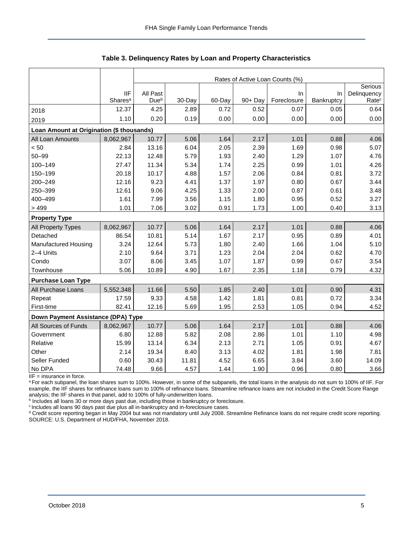|                                           |                     | Rates of Active Loan Counts (%) |        |        |         |             |            |                        |  |  |
|-------------------------------------------|---------------------|---------------------------------|--------|--------|---------|-------------|------------|------------------------|--|--|
|                                           | <b>IIF</b>          | All Past                        |        |        |         | In.         | In         | Serious<br>Delinquency |  |  |
|                                           | Shares <sup>a</sup> | Due <sup>b</sup>                | 30-Day | 60-Day | 90+ Day | Foreclosure | Bankruptcy | Rate <sup>c</sup>      |  |  |
| 2018                                      | 12.37               | 4.25                            | 2.89   | 0.72   | 0.52    | 0.07        | 0.05       | 0.64                   |  |  |
| 2019                                      | 1.10                | 0.20                            | 0.19   | 0.00   | 0.00    | 0.00        | 0.00       | 0.00                   |  |  |
| Loan Amount at Origination (\$ thousands) |                     |                                 |        |        |         |             |            |                        |  |  |
| All Loan Amounts                          | 8,062,967           | 10.77                           | 5.06   | 1.64   | 2.17    | 1.01        | 0.88       | 4.06                   |  |  |
| < 50                                      | 2.84                | 13.16                           | 6.04   | 2.05   | 2.39    | 1.69        | 0.98       | 5.07                   |  |  |
| $50 - 99$                                 | 22.13               | 12.48                           | 5.79   | 1.93   | 2.40    | 1.29        | 1.07       | 4.76                   |  |  |
| 100-149                                   | 27.47               | 11.34                           | 5.34   | 1.74   | 2.25    | 0.99        | 1.01       | 4.26                   |  |  |
| 150-199                                   | 20.18               | 10.17                           | 4.88   | 1.57   | 2.06    | 0.84        | 0.81       | 3.72                   |  |  |
| 200-249                                   | 12.16               | 9.23                            | 4.41   | 1.37   | 1.97    | 0.80        | 0.67       | 3.44                   |  |  |
| 250-399                                   | 12.61               | 9.06                            | 4.25   | 1.33   | 2.00    | 0.87        | 0.61       | 3.48                   |  |  |
| 400-499                                   | 1.61                | 7.99                            | 3.56   | 1.15   | 1.80    | 0.95        | 0.52       | 3.27                   |  |  |
| > 499                                     | 1.01                | 7.06                            | 3.02   | 0.91   | 1.73    | 1.00        | 0.40       | 3.13                   |  |  |
| <b>Property Type</b>                      |                     |                                 |        |        |         |             |            |                        |  |  |
| All Property Types                        | 8,062,967           | 10.77                           | 5.06   | 1.64   | 2.17    | 1.01        | 0.88       | 4.06                   |  |  |
| Detached                                  | 86.54               | 10.81                           | 5.14   | 1.67   | 2.17    | 0.95        | 0.89       | 4.01                   |  |  |
| Manufactured Housing                      | 3.24                | 12.64                           | 5.73   | 1.80   | 2.40    | 1.66        | 1.04       | 5.10                   |  |  |
| 2-4 Units                                 | 2.10                | 9.64                            | 3.71   | 1.23   | 2.04    | 2.04        | 0.62       | 4.70                   |  |  |
| Condo                                     | 3.07                | 8.06                            | 3.45   | 1.07   | 1.87    | 0.99        | 0.67       | 3.54                   |  |  |
| Townhouse                                 | 5.06                | 10.89                           | 4.90   | 1.67   | 2.35    | 1.18        | 0.79       | 4.32                   |  |  |
| <b>Purchase Loan Type</b>                 |                     |                                 |        |        |         |             |            |                        |  |  |
| All Purchase Loans                        | 5,552,348           | 11.66                           | 5.50   | 1.85   | 2.40    | 1.01        | 0.90       | 4.31                   |  |  |
| Repeat                                    | 17.59               | 9.33                            | 4.58   | 1.42   | 1.81    | 0.81        | 0.72       | 3.34                   |  |  |
| First-time                                | 82.41               | 12.16                           | 5.69   | 1.95   | 2.53    | 1.05        | 0.94       | 4.52                   |  |  |
| Down Payment Assistance (DPA) Type        |                     |                                 |        |        |         |             |            |                        |  |  |
| All Sources of Funds                      | 8,062,967           | 10.77                           | 5.06   | 1.64   | 2.17    | 1.01        | 0.88       | 4.06                   |  |  |
| Government                                | 6.80                | 12.88                           | 5.82   | 2.08   | 2.86    | 1.01        | 1.10       | 4.98                   |  |  |
| Relative                                  | 15.99               | 13.14                           | 6.34   | 2.13   | 2.71    | 1.05        | 0.91       | 4.67                   |  |  |
| Other                                     | 2.14                | 19.34                           | 8.40   | 3.13   | 4.02    | 1.81        | 1.98       | 7.81                   |  |  |
| Seller Funded                             | 0.60                | 30.43                           | 11.81  | 4.52   | 6.65    | 3.84        | 3.60       | 14.09                  |  |  |
| No DPA                                    | 74.48               | 9.66                            | 4.57   | 1.44   | 1.90    | 0.96        | 0.80       | 3.66                   |  |  |

**Table 3. Delinquency Rates by Loan and Property Characteristics**

 $IIF =$  insurance in force.

a For each subpanel, the loan shares sum to 100%. However, in some of the subpanels, the total loans in the analysis do not sum to 100% of IIF. For example, the IIF shares for refinance loans sum to 100% of refinance loans. Streamline refinance loans are not included in the Credit Score Range

analysis; the IIF shares in that panel, add to 100% of fully-underwritten loans.<br><sup>b</sup> Includes all loans 30 or more days past due, including those in bankruptcy or foreclosure.

<sup>c</sup> Includes all loans 90 days past due plus all in-bankruptcy and in-foreclosure cases.

<sup>d</sup> Credit score reporting began in May 2004 but was not mandatory until July 2008. Streamline Refinance loans do not require credit score reporting. SOURCE: U.S. Department of HUD/FHA, November 2018.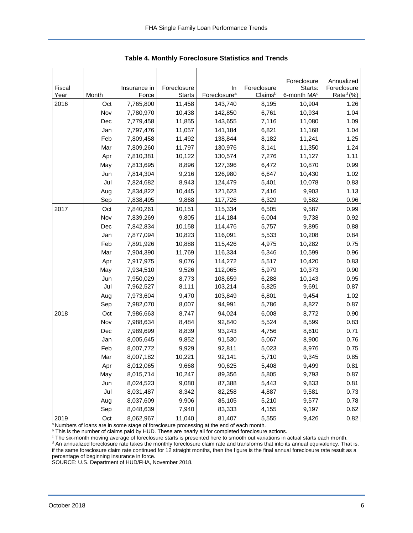<span id="page-6-0"></span>

|              |            |                        |                              |                                |                        | Foreclosure                        | Annualized                           |
|--------------|------------|------------------------|------------------------------|--------------------------------|------------------------|------------------------------------|--------------------------------------|
| Fiscal       |            | Insurance in           | Foreclosure<br><b>Starts</b> | In<br>Foreclosure <sup>a</sup> | Foreclosure<br>Claimsb | Starts:<br>6-month MA <sup>c</sup> | Foreclosure<br>Rate <sup>d</sup> (%) |
| Year<br>2016 | Month      | Force                  | 11,458                       | 143,740                        | 8,195                  | 10,904                             | 1.26                                 |
|              | Oct        | 7,765,800              | 10,438                       | 142,850                        | 6,761                  | 10,934                             | 1.04                                 |
|              | Nov        | 7,780,970<br>7,779,458 | 11,855                       | 143,655                        |                        | 11,080                             | 1.09                                 |
|              | Dec        |                        | 11,057                       | 141,184                        | 7,116<br>6,821         | 11,168                             | 1.04                                 |
|              | Jan<br>Feb | 7,797,476              |                              | 138,844                        |                        | 11,241                             | 1.25                                 |
|              | Mar        | 7,809,458<br>7,809,260 | 11,492<br>11,797             | 130,976                        | 8,182<br>8,141         | 11,350                             | 1.24                                 |
|              |            |                        |                              |                                |                        |                                    |                                      |
|              | Apr        | 7,810,381              | 10,122                       | 130,574                        | 7,276                  | 11,127                             | 1.11                                 |
|              | May        | 7,813,695              | 8,896                        | 127,396                        | 6,472                  | 10,870                             | 0.99                                 |
|              | Jun        | 7,814,304              | 9,216                        | 126,980                        | 6,647                  | 10,430                             | 1.02                                 |
|              | Jul        | 7,824,682              | 8,943                        | 124,479                        | 5,401                  | 10,078                             | 0.83                                 |
|              | Aug        | 7,834,822              | 10,445                       | 121,623                        | 7,416                  | 9,903                              | 1.13                                 |
|              | Sep        | 7,838,495              | 9,868                        | 117,726                        | 6,329                  | 9,582                              | 0.96                                 |
| 2017         | Oct        | 7,840,261              | 10,151                       | 115,334                        | 6,505                  | 9,587                              | 0.99                                 |
|              | Nov        | 7,839,269              | 9,805                        | 114,184                        | 6,004                  | 9,738                              | 0.92                                 |
|              | Dec        | 7,842,834              | 10,158                       | 114,476                        | 5,757                  | 9,895                              | 0.88                                 |
|              | Jan        | 7,877,094              | 10,823                       | 116,091                        | 5,533                  | 10,208                             | 0.84                                 |
|              | Feb        | 7,891,926              | 10,888                       | 115,426                        | 4,975                  | 10,282                             | 0.75                                 |
|              | Mar        | 7,904,390              | 11,769                       | 116,334                        | 6,346                  | 10,599                             | 0.96                                 |
|              | Apr        | 7,917,975              | 9,076                        | 114,272                        | 5,517                  | 10,420                             | 0.83                                 |
|              | May        | 7,934,510              | 9,526                        | 112,065                        | 5,979                  | 10,373                             | 0.90                                 |
|              | Jun        | 7,950,029              | 8,773                        | 108,659                        | 6,288                  | 10,143                             | 0.95                                 |
|              | Jul        | 7,962,527              | 8,111                        | 103,214                        | 5,825                  | 9,691                              | 0.87                                 |
|              | Aug        | 7,973,604              | 9,470                        | 103,849                        | 6,801                  | 9,454                              | 1.02                                 |
|              | Sep        | 7,982,070              | 8,007                        | 94,991                         | 5,786                  | 8,827                              | 0.87                                 |
| 2018         | Oct        | 7,986,663              | 8,747                        | 94,024                         | 6,008                  | 8,772                              | 0.90                                 |
|              | Nov        | 7,988,634              | 8,484                        | 92,840                         | 5,524                  | 8,599                              | 0.83                                 |
|              | Dec        | 7,989,699              | 8,839                        | 93,243                         | 4,756                  | 8,610                              | 0.71                                 |
|              | Jan        | 8,005,645              | 9,852                        | 91,530                         | 5,067                  | 8,900                              | 0.76                                 |
|              | Feb        | 8,007,772              | 9,929                        | 92,811                         | 5,023                  | 8,976                              | 0.75                                 |
|              | Mar        | 8,007,182              | 10,221                       | 92,141                         | 5,710                  | 9,345                              | 0.85                                 |
|              | Apr        | 8,012,065              | 9,668                        | 90,625                         | 5,408                  | 9,499                              | 0.81                                 |
|              | May        | 8,015,714              | 10,247                       | 89,356                         | 5,805                  | 9,793                              | 0.87                                 |
|              | Jun        | 8,024,523              | 9,080                        | 87,388                         | 5,443                  | 9,833                              | 0.81                                 |
|              | Jul        | 8,031,487              | 8,342                        | 82,258                         | 4,887                  | 9,581                              | 0.73                                 |
|              | Aug        | 8,037,609              | 9,906                        | 85,105                         | 5,210                  | 9,577                              | 0.78                                 |
|              | Sep        | 8,048,639              | 7,940                        | 83,333                         | 4,155                  | 9,197                              | 0.62                                 |
| 2019         | Oct        | 8,062,967              | 11,040                       | 81,407                         | 5,555                  | 9,426                              | 0.82                                 |

**Table 4. Monthly Foreclosure Statistics and Trends**

<sup>a</sup> Numbers of loans are in some stage of foreclosure processing at the end of each month.

b This is the number of claims paid by HUD. These are nearly all for completed foreclosure actions.

<sup>c</sup> The six-month moving average of foreclosure starts is presented here to smooth out variations in actual starts each month.

d An annualized foreclosure rate takes the monthly foreclosure claim rate and transforms that into its annual equivalency. That is, if the same foreclosure claim rate continued for 12 straight months, then the figure is the final annual foreclosure rate result as a percentage of beginning insurance in force.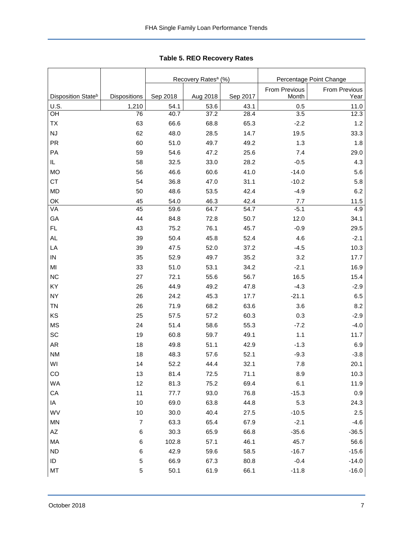<span id="page-7-0"></span>

|                                |                     |          | Recovery Rates <sup>a</sup> (%) |          | Percentage Point Change |                       |  |
|--------------------------------|---------------------|----------|---------------------------------|----------|-------------------------|-----------------------|--|
| Disposition State <sup>b</sup> | <b>Dispositions</b> | Sep 2018 | Aug 2018                        | Sep 2017 | From Previous<br>Month  | From Previous<br>Year |  |
| U.S.                           | 1,210               | 54.1     | 53.6                            | 43.1     | 0.5                     | 11.0                  |  |
| OH                             | 76                  | 40.7     | 37.2                            | 28.4     | 3.5                     | 12.3                  |  |
| TX                             | 63                  | 66.6     | 68.8                            | 65.3     | $-2.2$                  | 1.2                   |  |
| NJ                             | 62                  | 48.0     | 28.5                            | 14.7     | 19.5                    | 33.3                  |  |
| PR                             | 60                  | 51.0     | 49.7                            | 49.2     | 1.3                     | 1.8                   |  |
| PA                             | 59                  | 54.6     | 47.2                            | 25.6     | 7.4                     | 29.0                  |  |
| IL.                            | 58                  | 32.5     | 33.0                            | 28.2     | $-0.5$                  | 4.3                   |  |
| <b>MO</b>                      | 56                  | 46.6     | 60.6                            | 41.0     | $-14.0$                 | 5.6                   |  |
| <b>CT</b>                      | 54                  | 36.8     | 47.0                            | 31.1     | $-10.2$                 | 5.8                   |  |
| <b>MD</b>                      | 50                  | 48.6     | 53.5                            | 42.4     | $-4.9$                  | 6.2                   |  |
| OK                             | 45                  | 54.0     | 46.3                            | 42.4     | 7.7                     | 11.5                  |  |
| VA                             | 45                  | 59.6     | 64.7                            | 54.7     | $-5.1$                  | 4.9                   |  |
| GA                             | 44                  | 84.8     | 72.8                            | 50.7     | 12.0                    | 34.1                  |  |
| FL                             | 43                  | 75.2     | 76.1                            | 45.7     | $-0.9$                  | 29.5                  |  |
| AL.                            | 39                  | 50.4     | 45.8                            | 52.4     | 4.6                     | $-2.1$                |  |
| LA                             | 39                  | 47.5     | 52.0                            | 37.2     | $-4.5$                  | 10.3                  |  |
| ${\sf IN}$                     | 35                  | 52.9     | 49.7                            | 35.2     | 3.2                     | 17.7                  |  |
| MI                             | 33                  | 51.0     | 53.1                            | 34.2     | $-2.1$                  | 16.9                  |  |
| <b>NC</b>                      | 27                  | 72.1     | 55.6                            | 56.7     | 16.5                    | 15.4                  |  |
| KY                             | 26                  | 44.9     | 49.2                            | 47.8     | $-4.3$                  | $-2.9$                |  |
| <b>NY</b>                      | 26                  | 24.2     | 45.3                            | 17.7     | $-21.1$                 | 6.5                   |  |
| <b>TN</b>                      | 26                  | 71.9     | 68.2                            | 63.6     | 3.6                     | 8.2                   |  |
| KS                             | 25                  | 57.5     | 57.2                            | 60.3     | 0.3                     | $-2.9$                |  |
| <b>MS</b>                      | 24                  | 51.4     | 58.6                            | 55.3     | $-7.2$                  | $-4.0$                |  |
| SC                             | 19                  | 60.8     | 59.7                            | 49.1     | 1.1                     | 11.7                  |  |
| AR                             | 18                  | 49.8     | 51.1                            | 42.9     | $-1.3$                  | 6.9                   |  |
| <b>NM</b>                      | 18                  | 48.3     | 57.6                            | 52.1     | $-9.3$                  | $-3.8$                |  |
| WI                             | 14                  | 52.2     | 44.4                            | 32.1     | 7.8                     | 20.1                  |  |
| CO                             | 13                  | 81.4     | 72.5                            | 71.1     | 8.9                     | 10.3                  |  |
| WA                             | 12                  | 81.3     | 75.2                            | 69.4     | 6.1                     | 11.9                  |  |
| ${\sf CA}$                     | 11                  | 77.7     | 93.0                            | 76.8     | $-15.3$                 | $0.9\,$               |  |
| IA                             | $10$                | 69.0     | 63.8                            | 44.8     | 5.3                     | 24.3                  |  |
| WV                             | $10$                | 30.0     | 40.4                            | 27.5     | $-10.5$                 | 2.5                   |  |
| <b>MN</b>                      | $\overline{7}$      | 63.3     | 65.4                            | 67.9     | $-2.1$                  | $-4.6$                |  |
| $\mathsf{A}\mathsf{Z}$         | 6                   | 30.3     | 65.9                            | 66.8     | $-35.6$                 | $-36.5$               |  |
| MA                             | 6                   | 102.8    | 57.1                            | 46.1     | 45.7                    | 56.6                  |  |
| <b>ND</b>                      | 6                   | 42.9     | 59.6                            | 58.5     | $-16.7$                 | $-15.6$               |  |
| ID                             | $\,$ 5 $\,$         | 66.9     | 67.3                            | 80.8     | $-0.4$                  | $-14.0$               |  |
| MT                             | 5                   | 50.1     | 61.9                            | 66.1     | $-11.8$                 | $-16.0$               |  |

**Table 5. REO Recovery Rates**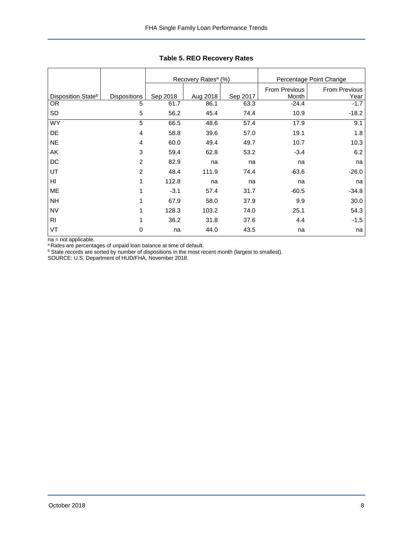|                                |                     |          | Recovery Rates <sup>a</sup> (%) |          |               | Percentage Point Change |
|--------------------------------|---------------------|----------|---------------------------------|----------|---------------|-------------------------|
|                                |                     |          |                                 |          | From Previous | <b>From Previous</b>    |
| Disposition State <sup>b</sup> | <b>Dispositions</b> | Sep 2018 | Aug 2018                        | Sep 2017 | Month         | Year                    |
| <b>OR</b>                      | 5                   | 61.7     | 86.1                            | 63.3     | $-24.4$       | $-1.7$                  |
| <b>SD</b>                      | 5                   | 56.2     | 45.4                            | 74.4     | 10.9          | $-18.2$                 |
| <b>WY</b>                      | 5                   | 66.5     | 48.6                            | 57.4     | 17.9          | 9.1                     |
| DE                             | 4                   | 58.8     | 39.6                            | 57.0     | 19.1          | 1.8                     |
| <b>NE</b>                      | 4                   | 60.0     | 49.4                            | 49.7     | 10.7          | 10.3                    |
| AK                             | 3                   | 59.4     | 62.8                            | 53.2     | $-3.4$        | 6.2                     |
| DC                             | $\overline{c}$      | 82.9     | na                              | na       | na            | na                      |
| UT                             | $\overline{c}$      | 48.4     | 111.9                           | 74.4     | $-63.6$       | $-26.0$                 |
| HI                             | $\mathbf{1}$        | 112.8    | na                              | na       | na            | na                      |
| <b>ME</b>                      | 1                   | $-3.1$   | 57.4                            | 31.7     | $-60.5$       | $-34.8$                 |
| <b>NH</b>                      | 1                   | 67.9     | 58.0                            | 37.9     | 9.9           | 30.0                    |
| <b>NV</b>                      | $\mathbf{1}$        | 128.3    | 103.2                           | 74.0     | 25.1          | 54.3                    |
| <b>RI</b>                      | 1                   | 36.2     | 31.8                            | 37.6     | 4.4           | $-1.5$                  |
| VT                             | 0                   | na       | 44.0                            | 43.5     | na            | na                      |

**Table 5. REO Recovery Rates**

na = not applicable.

<sup>a</sup> Rates are percentages of unpaid loan balance at time of default.

 $b$  State records are sorted by number of dispositions in the most recent month (largest to smallest).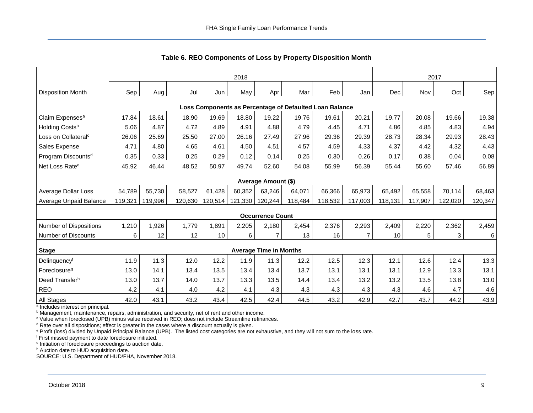<span id="page-9-0"></span>

|                                                         | 2018    |         |         |         |         |                               |         |         |         | 2017       |         |         |         |
|---------------------------------------------------------|---------|---------|---------|---------|---------|-------------------------------|---------|---------|---------|------------|---------|---------|---------|
| <b>Disposition Month</b>                                | Sep     | Aug     | Jul     | Jun     | May     | Apr                           | Mar     | Feb     | Jan     | <b>Dec</b> | Nov     | Oct     | Sep     |
| Loss Components as Percentage of Defaulted Loan Balance |         |         |         |         |         |                               |         |         |         |            |         |         |         |
| Claim Expenses <sup>a</sup>                             | 17.84   | 18.61   | 18.90   | 19.69   | 18.80   | 19.22                         | 19.76   | 19.61   | 20.21   | 19.77      | 20.08   | 19.66   | 19.38   |
| Holding Costs <sup>b</sup>                              | 5.06    | 4.87    | 4.72    | 4.89    | 4.91    | 4.88                          | 4.79    | 4.45    | 4.71    | 4.86       | 4.85    | 4.83    | 4.94    |
| Loss on Collateral <sup>c</sup>                         | 26.06   | 25.69   | 25.50   | 27.00   | 26.16   | 27.49                         | 27.96   | 29.36   | 29.39   | 28.73      | 28.34   | 29.93   | 28.43   |
| Sales Expense                                           | 4.71    | 4.80    | 4.65    | 4.61    | 4.50    | 4.51                          | 4.57    | 4.59    | 4.33    | 4.37       | 4.42    | 4.32    | 4.43    |
| Program Discounts <sup>d</sup>                          | 0.35    | 0.33    | 0.25    | 0.29    | 0.12    | 0.14                          | 0.25    | 0.30    | 0.26    | 0.17       | 0.38    | 0.04    | 0.08    |
| Net Loss Rate <sup>e</sup>                              | 45.92   | 46.44   | 48.52   | 50.97   | 49.74   | 52.60                         | 54.08   | 55.99   | 56.39   | 55.44      | 55.60   | 57.46   | 56.89   |
| <b>Average Amount (\$)</b>                              |         |         |         |         |         |                               |         |         |         |            |         |         |         |
| <b>Average Dollar Loss</b>                              | 54,789  | 55,730  | 58,527  | 61,428  | 60,352  | 63,246                        | 64,071  | 66,366  | 65,973  | 65,492     | 65,558  | 70,114  | 68,463  |
| Average Unpaid Balance                                  | 119,321 | 119,996 | 120,630 | 120,514 | 121,330 | 120,244                       | 118,484 | 118,532 | 117,003 | 118,131    | 117,907 | 122,020 | 120,347 |
|                                                         |         |         |         |         |         | <b>Occurrence Count</b>       |         |         |         |            |         |         |         |
| Number of Dispositions                                  | 1,210   | 1,926   | 1,779   | 1,891   | 2,205   | 2,180                         | 2,454   | 2,376   | 2,293   | 2,409      | 2,220   | 2,362   | 2,459   |
| <b>Number of Discounts</b>                              | 6       | 12      | 12      | 10      | 6       | $\overline{7}$                | 13      | 16      | 7       | 10         | 5       | 3       | 6       |
| <b>Stage</b>                                            |         |         |         |         |         | <b>Average Time in Months</b> |         |         |         |            |         |         |         |
| Delinquency <sup>f</sup>                                | 11.9    | 11.3    | 12.0    | 12.2    | 11.9    | 11.3                          | 12.2    | 12.5    | 12.3    | 12.1       | 12.6    | 12.4    | 13.3    |
| Foreclosure <sup>g</sup>                                | 13.0    | 14.1    | 13.4    | 13.5    | 13.4    | 13.4                          | 13.7    | 13.1    | 13.1    | 13.1       | 12.9    | 13.3    | 13.1    |
| Deed Transferh                                          | 13.0    | 13.7    | 14.0    | 13.7    | 13.3    | 13.5                          | 14.4    | 13.4    | 13.2    | 13.2       | 13.5    | 13.8    | 13.0    |
| <b>REO</b>                                              | 4.2     | 4.1     | 4.0     | 4.2     | 4.1     | 4.3                           | 4.3     | 4.3     | 4.3     | 4.3        | 4.6     | 4.7     | 4.6     |
| All Stages                                              | 42.0    | 43.1    | 43.2    | 43.4    | 42.5    | 42.4                          | 44.5    | 43.2    | 42.9    | 42.7       | 43.7    | 44.2    | 43.9    |

**Table 6. REO Components of Loss by Property Disposition Month**

<sup>a</sup> Includes interest on principal.

**b Management, maintenance, repairs, administration, and security, net of rent and other income.** 

<sup>c</sup> Value when foreclosed (UPB) minus value received in REO; does not include Streamline refinances.

d Rate over all dispositions; effect is greater in the cases where a discount actually is given.

<sup>e</sup> Profit (loss) divided by Unpaid Principal Balance (UPB). The listed cost categories are not exhaustive, and they will not sum to the loss rate.

<sup>f</sup> First missed payment to date foreclosure initiated.

<sup>g</sup> Initiation of foreclosure proceedings to auction date.

h Auction date to HUD acquisition date.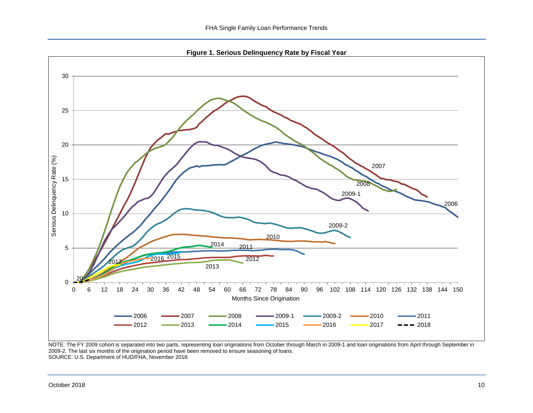**Figure 1. Serious Delinquency Rate by Fiscal Year**

<span id="page-10-0"></span>

NOTE: The FY 2009 cohort is separated into two parts, representing loan originations from October through March in 2009-1 and loan originations from April through September in 2009-2. The last six months of the origination period have been removed to ensure seasoning of loans. SOURCE: U.S. Department of HUD/FHA, November 2018.